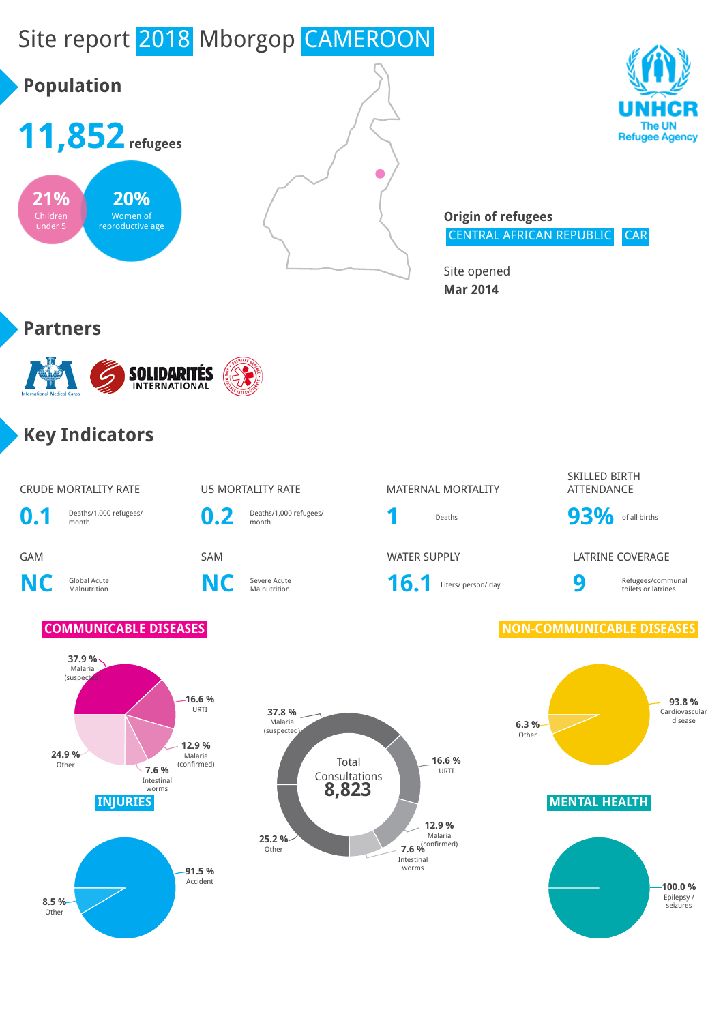# Site report 2018 Mborgop CAMEROON





**Origin of refugees** CENTRAL AFRICAN REPUBLIC CAR

Site opened **Mar 2014**

## **Partners**



## **Key Indicators**

### CRUDE MORTALITY RATE **U5 MORTALITY RATE** MATERNAL MORTALITY

**0.1** Deaths/1,000 refugees/ month **0.2** Deaths/1,000 refugees/

**NC** Global Acute

**C** Severe Acute<br>Malnutrition **NC** Severe Acute

Severe Acute **16.1** Liters/ person/ day **9** 



Deaths/1,000 refugees/<br>month **93%** of all births

GAM SAM WATER SUPPLY LATRINE COVERAGE



toilets or latrines

Refugees/communal

### **COMMUNICABLE DISEASES NON-COMMUNICABLE DISEASES**





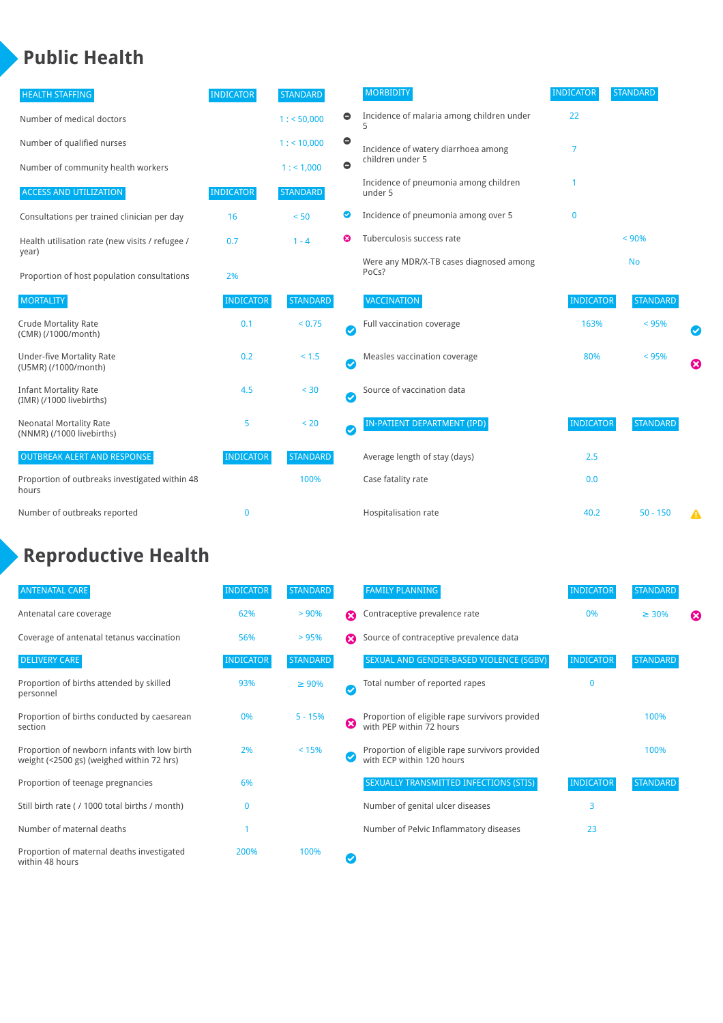## **Public Health**

| <b>HEALTH STAFFING</b>                                      | <b>INDICATOR</b> | <b>STANDARD</b> |           | <b>MORBIDITY</b>                                 | <b>INDICATOR</b> | <b>STANDARD</b> |   |
|-------------------------------------------------------------|------------------|-----------------|-----------|--------------------------------------------------|------------------|-----------------|---|
| Number of medical doctors                                   |                  | 1: 50,000       | $\bullet$ | Incidence of malaria among children under        | 22               |                 |   |
| Number of qualified nurses                                  |                  | 1:10,000        | $\bullet$ | Incidence of watery diarrhoea among              | 7                |                 |   |
| Number of community health workers                          |                  | 1: 1,000        | $\bullet$ | children under 5                                 |                  |                 |   |
| <b>ACCESS AND UTILIZATION</b>                               | <b>INDICATOR</b> | <b>STANDARD</b> |           | Incidence of pneumonia among children<br>under 5 |                  |                 |   |
| Consultations per trained clinician per day                 | 16               | < 50            | ◉         | Incidence of pneumonia among over 5              | $\mathbf{0}$     |                 |   |
| Health utilisation rate (new visits / refugee /             | 0.7              | $1 - 4$         | ణ         | Tuberculosis success rate                        |                  | < 90%           |   |
| year)<br>Proportion of host population consultations        | 2%               |                 |           | Were any MDR/X-TB cases diagnosed among<br>PoCs? |                  | <b>No</b>       |   |
| <b>MORTALITY</b>                                            | <b>INDICATOR</b> | <b>STANDARD</b> |           | VACCINATION                                      | <b>INDICATOR</b> | <b>STANDARD</b> |   |
| <b>Crude Mortality Rate</b><br>(CMR) (/1000/month)          | 0.1              | < 0.75          | Ø         | Full vaccination coverage                        | 163%             | < 95%           |   |
| <b>Under-five Mortality Rate</b><br>(U5MR) (/1000/month)    | 0.2              | $< 1.5$         | Ø         | Measles vaccination coverage                     | 80%              | < 95%           | Ø |
| <b>Infant Mortality Rate</b><br>(IMR) (/1000 livebirths)    | 4.5              | < 30            | Ø         | Source of vaccination data                       |                  |                 |   |
| <b>Neonatal Mortality Rate</b><br>(NNMR) (/1000 livebirths) | 5                | < 20            | $\bullet$ | IN-PATIENT DEPARTMENT (IPD)                      | <b>INDICATOR</b> | <b>STANDARD</b> |   |
| <b>OUTBREAK ALERT AND RESPONSE</b>                          | <b>INDICATOR</b> | <b>STANDARD</b> |           | Average length of stay (days)                    | 2.5              |                 |   |
| Proportion of outbreaks investigated within 48<br>hours     |                  | 100%            |           | Case fatality rate                               | 0.0              |                 |   |
| Number of outbreaks reported                                | $\mathbf 0$      |                 |           | Hospitalisation rate                             | 40.2             | $50 - 150$      | Δ |

## **Reproductive Health**

| <b>ANTENATAL CARE</b>                                                                     | <b>INDICATOR</b> | <b>STANDARD</b> |                       | <b>FAMILY PLANNING</b>                                                      | <b>INDICATOR</b> | <b>STANDARD</b> |   |
|-------------------------------------------------------------------------------------------|------------------|-----------------|-----------------------|-----------------------------------------------------------------------------|------------------|-----------------|---|
| Antenatal care coverage                                                                   | 62%              | > 90%           | Ω                     | Contraceptive prevalence rate                                               | 0%               | $\geq 30\%$     | ⊠ |
| Coverage of antenatal tetanus vaccination                                                 | 56%              | >95%            | Ω                     | Source of contraceptive prevalence data                                     |                  |                 |   |
| <b>DELIVERY CARE</b>                                                                      | <b>INDICATOR</b> | <b>STANDARD</b> |                       | SEXUAL AND GENDER-BASED VIOLENCE (SGBV)                                     | <b>INDICATOR</b> | <b>STANDARD</b> |   |
| Proportion of births attended by skilled<br>personnel                                     | 93%              | $\geq 90\%$     | $\boldsymbol{\sigma}$ | Total number of reported rapes                                              | $\mathbf{0}$     |                 |   |
| Proportion of births conducted by caesarean<br>section                                    | 0%               | $5 - 15%$       | ೞ                     | Proportion of eligible rape survivors provided<br>with PEP within 72 hours  |                  | 100%            |   |
| Proportion of newborn infants with low birth<br>weight (<2500 gs) (weighed within 72 hrs) | 2%               | < 15%           |                       | Proportion of eligible rape survivors provided<br>with ECP within 120 hours |                  | 100%            |   |
| Proportion of teenage pregnancies                                                         | 6%               |                 |                       | SEXUALLY TRANSMITTED INFECTIONS (STIS)                                      | <b>INDICATOR</b> | <b>STANDARD</b> |   |
| Still birth rate (/1000 total births / month)                                             |                  |                 |                       | Number of genital ulcer diseases                                            | 3                |                 |   |
| Number of maternal deaths                                                                 |                  |                 |                       | Number of Pelvic Inflammatory diseases                                      | 23               |                 |   |
| Proportion of maternal deaths investigated<br>within 48 hours                             | 200%             | 100%            |                       |                                                                             |                  |                 |   |